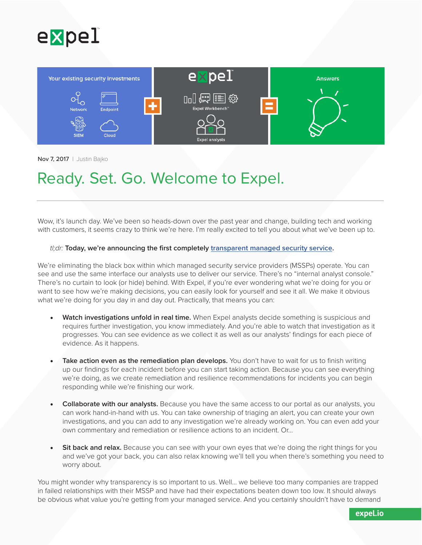



Nov 7, 2017 | Justin Bajko

## Ready. Set. Go. Welcome to Expel.

Wow, it's launch day. We've been so heads-down over the past year and change, building tech and working with customers, it seems crazy to think we're here. I'm really excited to tell you about what we've been up to.

## *tl;dr:* **Today, we're announcing the first completely [transparent managed security service](https://expel.io/managed-security/).**

We're eliminating the black box within which managed security service providers (MSSPs) operate. You can see and use the same interface our analysts use to deliver our service. There's no "internal analyst console." There's no curtain to look (or hide) behind. With Expel, if you're ever wondering what we're doing for you or want to see how we're making decisions, you can easily look for yourself and see it all. We make it obvious what we're doing for you day in and day out. Practically, that means you can:

- **Watch investigations unfold in real time.** When Expel analysts decide something is suspicious and requires further investigation, you know immediately. And you're able to watch that investigation as it progresses. You can see evidence as we collect it as well as our analysts' findings for each piece of evidence. As it happens.
- **Take action even as the remediation plan develops.** You don't have to wait for us to finish writing up our findings for each incident before you can start taking action. Because you can see everything we're doing, as we create remediation and resilience recommendations for incidents you can begin responding while we're finishing our work.
- **Collaborate with our analysts.** Because you have the same access to our portal as our analysts, you can work hand-in-hand with us. You can take ownership of triaging an alert, you can create your own investigations, and you can add to any investigation we're already working on. You can even add your own commentary and remediation or resilience actions to an incident. Or…
- **Sit back and relax.** Because you can see with your own eyes that we're doing the right things for you and we've got your back, you can also relax knowing we'll tell you when there's something you need to worry about.

You might wonder why transparency is so important to us. Well... we believe too many companies are trapped in failed relationships with their MSSP and have had their expectations beaten down too low. It should always be obvious what value you're getting from your managed service. And you certainly shouldn't have to demand